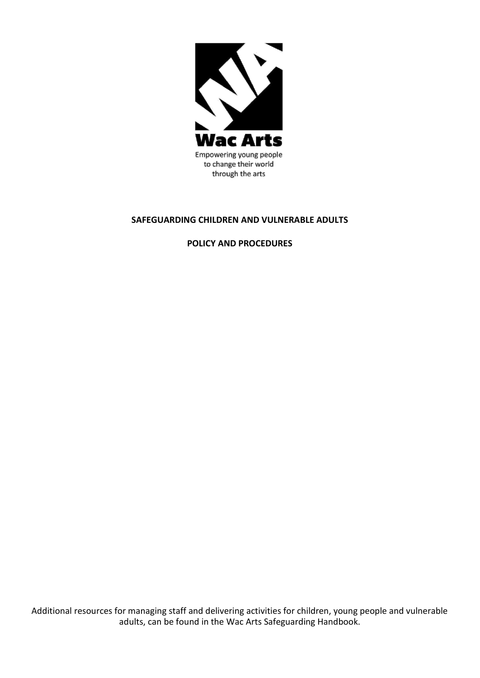

#### **SAFEGUARDING CHILDREN AND VULNERABLE ADULTS**

**POLICY AND PROCEDURES**

Additional resources for managing staff and delivering activities for children, young people and vulnerable adults, can be found in the Wac Arts Safeguarding Handbook.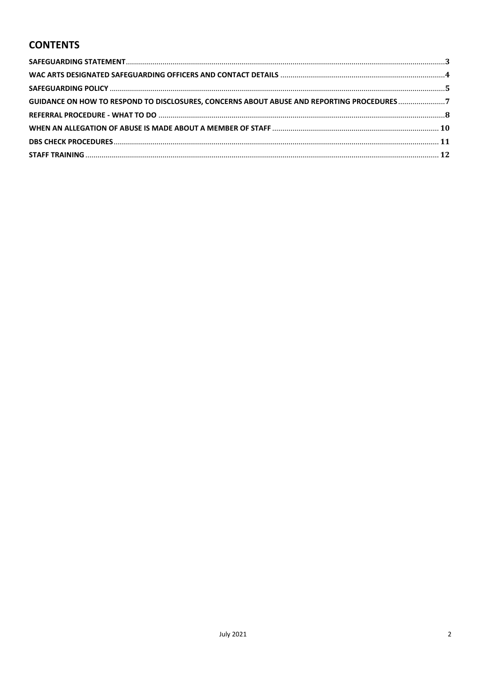# **CONTENTS**

| GUIDANCE ON HOW TO RESPOND TO DISCLOSURES, CONCERNS ABOUT ABUSE AND REPORTING PROCEDURES7 |  |
|-------------------------------------------------------------------------------------------|--|
|                                                                                           |  |
|                                                                                           |  |
|                                                                                           |  |
|                                                                                           |  |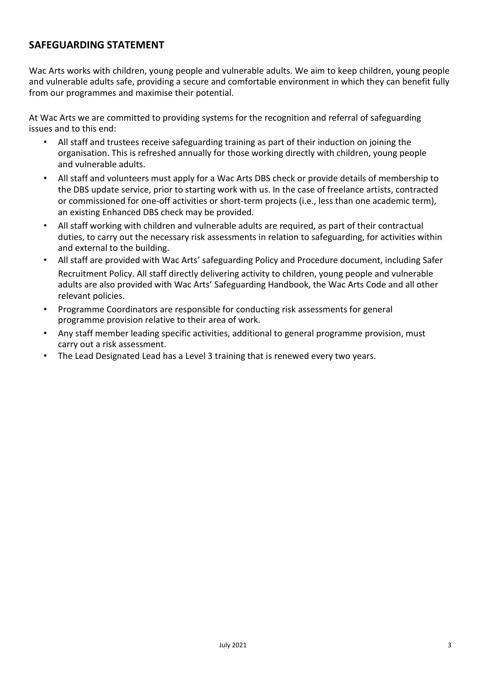## **SAFEGUARDING STATEMENT**

Wac Arts works with children, young people and vulnerable adults. We aim to keep children, young people and vulnerable adults safe, providing a secure and comfortable environment in which they can benefit fully from our programmes and maximise their potential.

At Wac Arts we are committed to providing systems for the recognition and referral of safeguarding issues and to this end:

- All staff and trustees receive safeguarding training as part of their induction on joining the organisation. This is refreshed annually for those working directly with children, young people and vulnerable adults.
- All staff and volunteers must apply for a Wac Arts DBS check or provide details of membership to the DBS update service, prior to starting work with us. In the case of freelance artists, contracted or commissioned for one-off activities or short-term projects (i.e., less than one academic term), an existing Enhanced DBS check may be provided.
- All staff working with children and vulnerable adults are required, as part of their contractual duties, to carry out the necessary risk assessments in relation to safeguarding, for activities within and external to the building.
- All staff are provided with Wac Arts' safeguarding Policy and Procedure document, including Safer Recruitment Policy. All staff directly delivering activity to children, young people and vulnerable adults are also provided with Wac Arts' Safeguarding Handbook, the Wac Arts Code and all other relevant policies.
- Programme Coordinators are responsible for conducting risk assessments for general programme provision relative to their area of work.
- Any staff member leading specific activities, additional to general programme provision, must carry out a risk assessment.
- The Lead Designated Lead has a Level 3 training that is renewed every two years.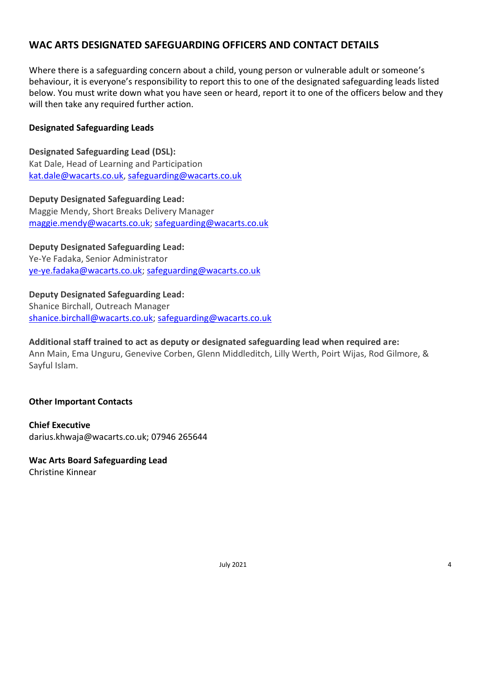# **WAC ARTS DESIGNATED SAFEGUARDING OFFICERS AND CONTACT DETAILS**

Where there is a safeguarding concern about a child, young person or vulnerable adult or someone's behaviour, it is everyone's responsibility to report this to one of the designated safeguarding leads listed below. You must write down what you have seen or heard, report it to one of the officers below and they will then take any required further action.

### **Designated Safeguarding Leads**

**Designated Safeguarding Lead (DSL):** Kat Dale, Head of Learning and Participation [kat.dale@wacarts.co.uk,](mailto:kat.dale@wacarts.co.uk) [safeguarding@wacarts.co.uk](mailto:safeguarding@wacarts.co.uk)

**Deputy Designated Safeguarding Lead:** Maggie Mendy, Short Breaks Delivery Manager [maggie.mendy@wacarts.co.uk;](mailto:maggie.mendy@wacarts.co.uk) [safeguarding@wacarts.co.uk](mailto:safeguarding@wacarts.co.uk)

**Deputy Designated Safeguarding Lead:**

Ye-Ye Fadaka, Senior Administrator [ye-ye.fadaka@wacarts.co.uk;](mailto:chas.mollet@wacarts.co.uk) [safeguarding@wacarts.co.uk](mailto:safeguarding@wacarts.co.uk)

**Deputy Designated Safeguarding Lead:** Shanice Birchall, Outreach Manager [shanice.birchall@wacarts.co.uk;](mailto:chas.mollet@wacarts.co.uk) [safeguarding@wacarts.co.uk](mailto:safeguarding@wacarts.co.uk)

**Additional staff trained to act as deputy or designated safeguarding lead when required are:** Ann Main, Ema Unguru, Genevive Corben, Glenn Middleditch, Lilly Werth, Poirt Wijas, Rod Gilmore, & Sayful Islam.

### **Other Important Contacts**

**Chief Executive** [darius.khwaja@wacarts.co.uk; 0](mailto:darius.khwaja@wacarts.co.uk)7946 265644

### **Wac Arts Board Safeguarding Lead**

Christine Kinnear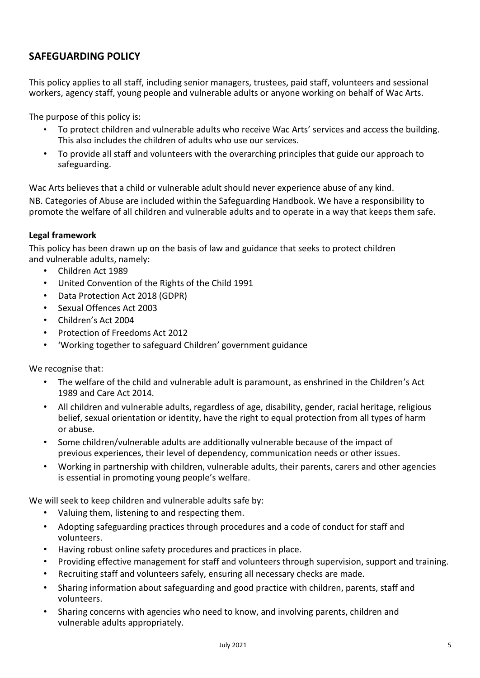# **SAFEGUARDING POLICY**

This policy applies to all staff, including senior managers, trustees, paid staff, volunteers and sessional workers, agency staff, young people and vulnerable adults or anyone working on behalf of Wac Arts.

The purpose of this policy is:

- To protect children and vulnerable adults who receive Wac Arts' services and access the building. This also includes the children of adults who use our services.
- To provide all staff and volunteers with the overarching principles that guide our approach to safeguarding.

Wac Arts believes that a child or vulnerable adult should never experience abuse of any kind.

NB. Categories of Abuse are included within the Safeguarding Handbook. We have a responsibility to promote the welfare of all children and vulnerable adults and to operate in a way that keeps them safe.

#### **Legal framework**

This policy has been drawn up on the basis of law and guidance that seeks to protect children and vulnerable adults, namely:

- Children Act 1989
- United Convention of the Rights of the Child 1991
- Data Protection Act 2018 (GDPR)
- Sexual Offences Act 2003
- Children's Act 2004
- Protection of Freedoms Act 2012
- 'Working together to safeguard Children' government guidance

We recognise that:

- The welfare of the child and vulnerable adult is paramount, as enshrined in the Children's Act 1989 and Care Act 2014.
- All children and vulnerable adults, regardless of age, disability, gender, racial heritage, religious belief, sexual orientation or identity, have the right to equal protection from all types of harm or abuse.
- Some children/vulnerable adults are additionally vulnerable because of the impact of previous experiences, their level of dependency, communication needs or other issues.
- Working in partnership with children, vulnerable adults, their parents, carers and other agencies is essential in promoting young people's welfare.

We will seek to keep children and vulnerable adults safe by:

- Valuing them, listening to and respecting them.
- Adopting safeguarding practices through procedures and a code of conduct for staff and volunteers.
- Having robust online safety procedures and practices in place.
- Providing effective management for staff and volunteers through supervision, support and training.
- Recruiting staff and volunteers safely, ensuring all necessary checks are made.
- Sharing information about safeguarding and good practice with children, parents, staff and volunteers.
- Sharing concerns with agencies who need to know, and involving parents, children and vulnerable adults appropriately.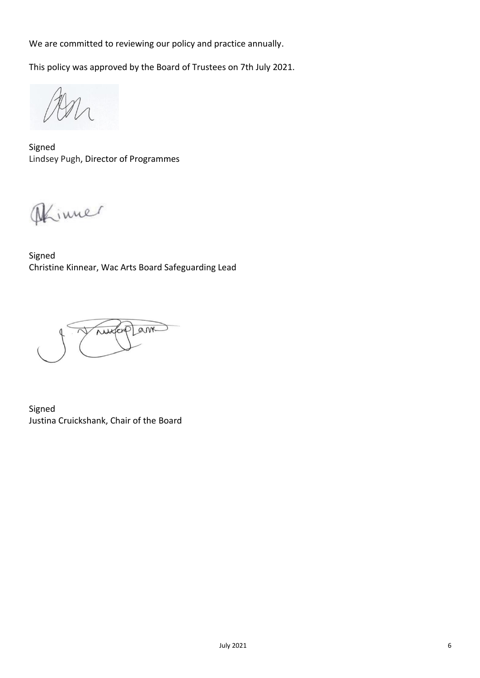We are committed to reviewing our policy and practice annually.

This policy was approved by the Board of Trustees on 7th July 2021.

Signed Lindsey Pugh, Director of Programmes

Dinner

Signed Christine Kinnear, Wac Arts Board Safeguarding Lead

nuxterplant

Signed Justina Cruickshank, Chair of the Board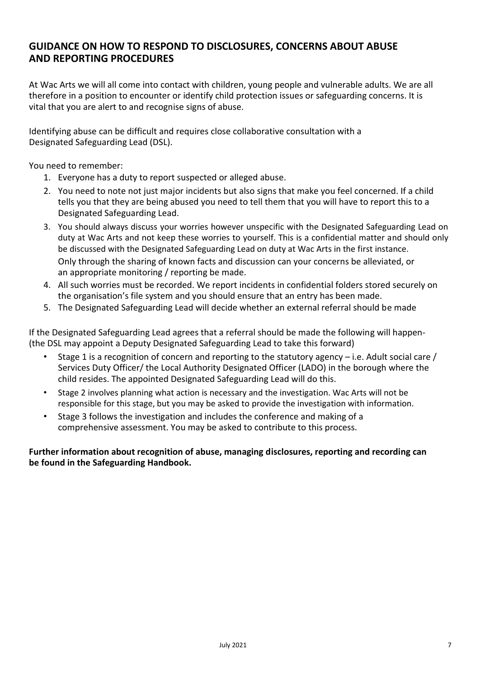## **GUIDANCE ON HOW TO RESPOND TO DISCLOSURES, CONCERNS ABOUT ABUSE AND REPORTING PROCEDURES**

At Wac Arts we will all come into contact with children, young people and vulnerable adults. We are all therefore in a position to encounter or identify child protection issues or safeguarding concerns. It is vital that you are alert to and recognise signs of abuse.

Identifying abuse can be difficult and requires close collaborative consultation with a Designated Safeguarding Lead (DSL).

You need to remember:

- 1. Everyone has a duty to report suspected or alleged abuse.
- 2. You need to note not just major incidents but also signs that make you feel concerned. If a child tells you that they are being abused you need to tell them that you will have to report this to a Designated Safeguarding Lead.
- 3. You should always discuss your worries however unspecific with the Designated Safeguarding Lead on duty at Wac Arts and not keep these worries to yourself. This is a confidential matter and should only be discussed with the Designated Safeguarding Lead on duty at Wac Arts in the first instance. Only through the sharing of known facts and discussion can your concerns be alleviated, or an appropriate monitoring / reporting be made.
- 4. All such worries must be recorded. We report incidents in confidential folders stored securely on the organisation's file system and you should ensure that an entry has been made.
- 5. The Designated Safeguarding Lead will decide whether an external referral should be made

If the Designated Safeguarding Lead agrees that a referral should be made the following will happen- (the DSL may appoint a Deputy Designated Safeguarding Lead to take this forward)

- Stage 1 is a recognition of concern and reporting to the statutory agency i.e. Adult social care / Services Duty Officer/ the Local Authority Designated Officer (LADO) in the borough where the child resides. The appointed Designated Safeguarding Lead will do this.
- Stage 2 involves planning what action is necessary and the investigation. Wac Arts will not be responsible for this stage, but you may be asked to provide the investigation with information.
- Stage 3 follows the investigation and includes the conference and making of a comprehensive assessment. You may be asked to contribute to this process.

#### **Further information about recognition of abuse, managing disclosures, reporting and recording can be found in the Safeguarding Handbook.**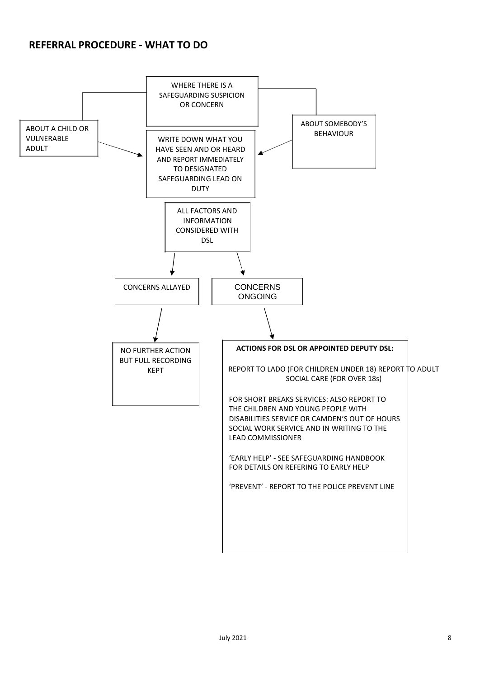### **REFERRAL PROCEDURE - WHAT TO DO**

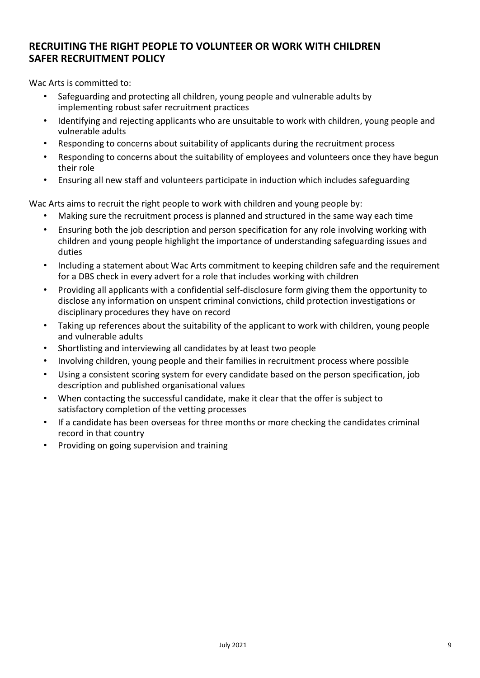# **RECRUITING THE RIGHT PEOPLE TO VOLUNTEER OR WORK WITH CHILDREN SAFER RECRUITMENT POLICY**

Wac Arts is committed to:

- Safeguarding and protecting all children, young people and vulnerable adults by implementing robust safer recruitment practices
- Identifying and rejecting applicants who are unsuitable to work with children, young people and vulnerable adults
- Responding to concerns about suitability of applicants during the recruitment process
- Responding to concerns about the suitability of employees and volunteers once they have begun their role
- Ensuring all new staff and volunteers participate in induction which includes safeguarding

Wac Arts aims to recruit the right people to work with children and young people by:

- Making sure the recruitment process is planned and structured in the same way each time
- Ensuring both the job description and person specification for any role involving working with children and young people highlight the importance of understanding safeguarding issues and duties
- Including a statement about Wac Arts commitment to keeping children safe and the requirement for a DBS check in every advert for a role that includes working with children
- Providing all applicants with a confidential self-disclosure form giving them the opportunity to disclose any information on unspent criminal convictions, child protection investigations or disciplinary procedures they have on record
- Taking up references about the suitability of the applicant to work with children, young people and vulnerable adults
- Shortlisting and interviewing all candidates by at least two people
- Involving children, young people and their families in recruitment process where possible
- Using a consistent scoring system for every candidate based on the person specification, job description and published organisational values
- When contacting the successful candidate, make it clear that the offer is subject to satisfactory completion of the vetting processes
- If a candidate has been overseas for three months or more checking the candidates criminal record in that country
- Providing on going supervision and training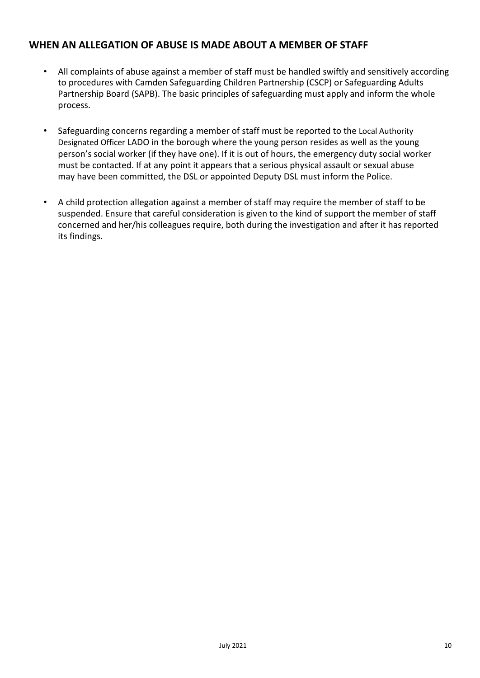## **WHEN AN ALLEGATION OF ABUSE IS MADE ABOUT A MEMBER OF STAFF**

- All complaints of abuse against a member of staff must be handled swiftly and sensitively according to procedures with Camden Safeguarding Children Partnership (CSCP) or Safeguarding Adults Partnership Board (SAPB). The basic principles of safeguarding must apply and inform the whole process.
- Safeguarding concerns regarding a member of staff must be reported to the Local Authority Designated Officer LADO in the borough where the young person resides as well as the young person's social worker (if they have one). If it is out of hours, the emergency duty social worker must be contacted. If at any point it appears that a serious physical assault or sexual abuse may have been committed, the DSL or appointed Deputy DSL must inform the Police.
- A child protection allegation against a member of staff may require the member of staff to be suspended. Ensure that careful consideration is given to the kind of support the member of staff concerned and her/his colleagues require, both during the investigation and after it has reported its findings.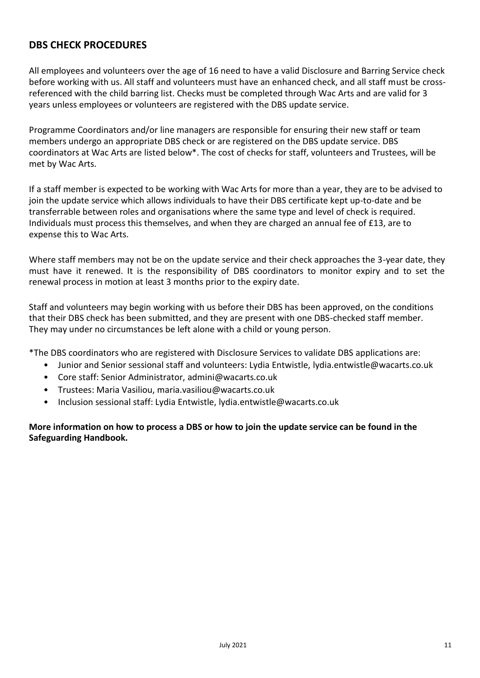## **DBS CHECK PROCEDURES**

All employees and volunteers over the age of 16 need to have a valid Disclosure and Barring Service check before working with us. All staff and volunteers must have an enhanced check, and all staff must be crossreferenced with the child barring list. Checks must be completed through Wac Arts and are valid for 3 years unless employees or volunteers are registered with the DBS update service.

Programme Coordinators and/or line managers are responsible for ensuring their new staff or team members undergo an appropriate DBS check or are registered on the DBS update service. DBS coordinators at Wac Arts are listed below\*. The cost of checks for staff, volunteers and Trustees, will be met by Wac Arts.

If a staff member is expected to be working with Wac Arts for more than a year, they are to be advised to join the update service which allows individuals to have their DBS certificate kept up-to-date and be transferrable between roles and organisations where the same type and level of check is required. Individuals must process this themselves, and when they are charged an annual fee of £13, are to expense this to Wac Arts.

Where staff members may not be on the update service and their check approaches the 3-year date, they must have it renewed. It is the responsibility of DBS coordinators to monitor expiry and to set the renewal process in motion at least 3 months prior to the expiry date.

Staff and volunteers may begin working with us before their DBS has been approved, on the conditions that their DBS check has been submitted, and they are present with one DBS-checked staff member. They may under no circumstances be left alone with a child or young person.

\*The DBS coordinators who are registered with Disclosure Services to validate DBS applications are:

- Junior and Senior sessional staff and volunteers: Lydia Entwistle, [lydia.entwistle@wacarts.co.uk](mailto:lydia.entwistle@wacarts.co.uk)
- Core staff: Senior Administrator, [admini@wacarts.co.uk](mailto:admini@wacarts.co.uk)
- Trustees: Maria Vasiliou, [maria.vasiliou@wacarts.co.uk](mailto:maria.vasiliou@wacarts.co.uk)
- Inclusion sessional staff: Lydia Entwistle, [lydia.entwistle@wacarts.co.uk](mailto:lydia.entwistle@wacarts.co.uk)

**More information on how to process a DBS or how to join the update service can be found in the Safeguarding Handbook.**